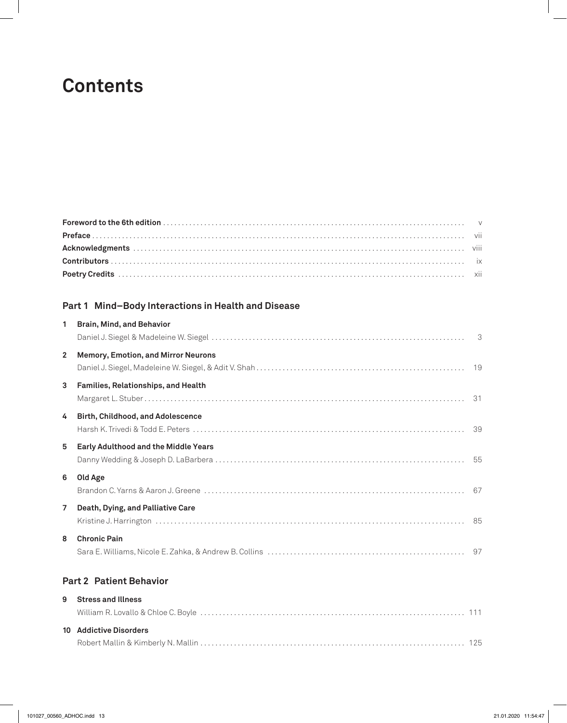## **Contents**

## **Part 1 Mind–Body Interactions in Health and Disease**

| $\mathbf{1}$   | <b>Brain, Mind, and Behavior</b>            |  |
|----------------|---------------------------------------------|--|
| $\overline{2}$ | <b>Memory, Emotion, and Mirror Neurons</b>  |  |
| 3              | Families, Relationships, and Health         |  |
| 4              | <b>Birth, Childhood, and Adolescence</b>    |  |
| 5              | <b>Early Adulthood and the Middle Years</b> |  |
| 6              | Old Age                                     |  |
| $\overline{7}$ | Death, Dying, and Palliative Care           |  |
| 8              | <b>Chronic Pain</b>                         |  |

## **Part 2 Patient Behavior**

| 9 |  | <b>Stress and Illness</b> |
|---|--|---------------------------|
|---|--|---------------------------|

| 10 Addictive Disorders |  |
|------------------------|--|
|                        |  |